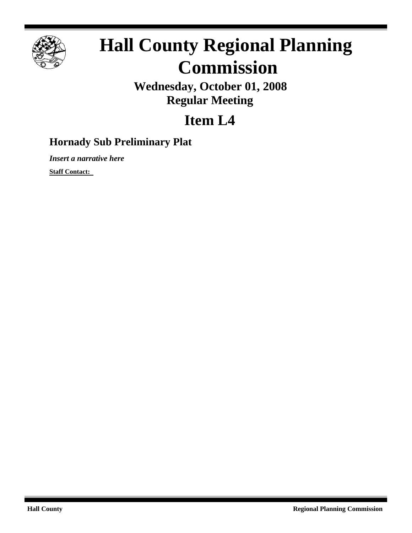

## **Hall County Regional Planning Commission**

**Wednesday, October 01, 2008 Regular Meeting**

## **Item L4**

## **Hornady Sub Preliminary Plat**

*Insert a narrative here*

**Staff Contact:**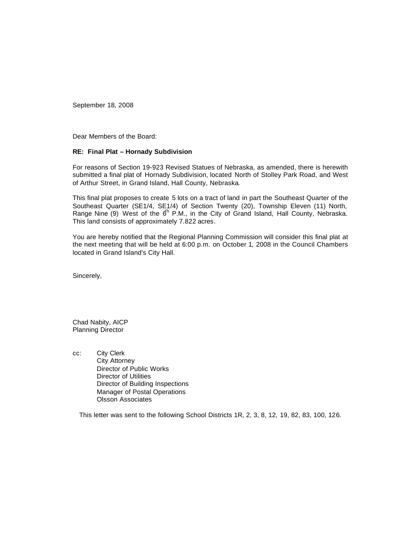September 18, 2008

Dear Members of the Board:

## **RE: Final Plat – Hornady Subdivision**

For reasons of Section 19-923 Revised Statues of Nebraska, as amended, there is herewith submitted a final plat of Hornady Subdivision, located North of Stolley Park Road, and West of Arthur Street, in Grand Island, Hall County, Nebraska.

This final plat proposes to create 5 lots on a tract of land in part the Southeast Quarter of the Southeast Quarter (SE1/4, SE1/4) of Section Twenty (20), Township Eleven (11) North, Range Nine (9) West of the  $6^{\text{h}}$  P.M., in the City of Grand Island, Hall County, Nebraska. This land consists of approximately 7.822 acres.

You are hereby notified that the Regional Planning Commission will consider this final plat at the next meeting that will be held at 6:00 p.m. on October 1, 2008 in the Council Chambers located in Grand Island's City Hall.

Sincerely,

Chad Nabity, AICP Planning Director

cc: City Clerk City Attorney Director of Public Works Director of Utilities Director of Building Inspections Manager of Postal Operations Olsson Associates

This letter was sent to the following School Districts 1R, 2, 3, 8, 12, 19, 82, 83, 100, 126.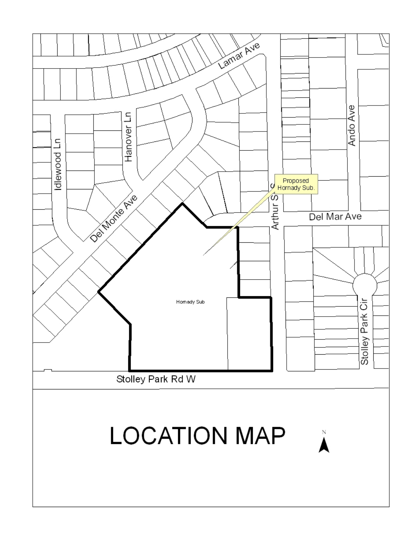